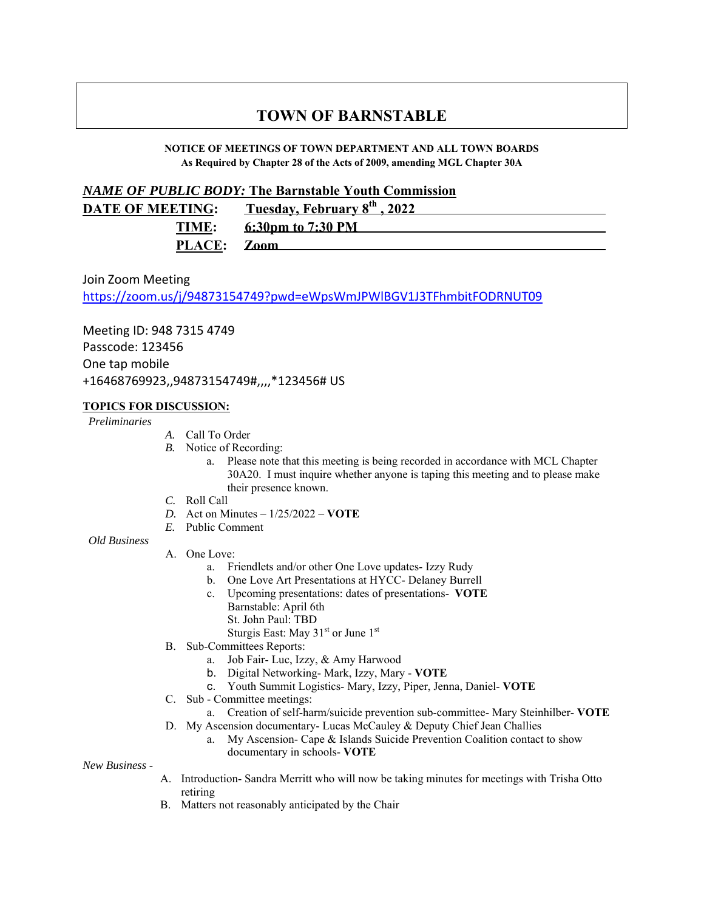# **TOWN OF BARNSTABLE**

#### **NOTICE OF MEETINGS OF TOWN DEPARTMENT AND ALL TOWN BOARDS As Required by Chapter 28 of the Acts of 2009, amending MGL Chapter 30A**

## *NAME OF PUBLIC BODY:* **The Barnstable Youth Commission**

| <b>DATE OF MEETING:</b> | Tuesday, February 8 <sup>th</sup> , 2022 |
|-------------------------|------------------------------------------|
| TIME:                   | 6:30pm to 7:30 PM                        |
| <b>PLACE:</b>           | <b>Zoom</b>                              |

Join Zoom Meeting

https://zoom.us/j/94873154749?pwd=eWpsWmJPWlBGV1J3TFhmbitFODRNUT09

Meeting ID: 948 7315 4749 Passcode: 123456 One tap mobile +16468769923,,94873154749#,,,,\*123456# US

### **TOPICS FOR DISCUSSION:**

*Preliminaries*

- *A.* Call To Order
- *B.* Notice of Recording:
	- a. Please note that this meeting is being recorded in accordance with MCL Chapter 30A20. I must inquire whether anyone is taping this meeting and to please make their presence known.
- *C.* Roll Call
- *D.* Act on Minutes 1/25/2022 **VOTE**
- *E.* Public Comment

*Old Business*

- A. One Love:
	- a. Friendlets and/or other One Love updates- Izzy Rudy
	- b. One Love Art Presentations at HYCC- Delaney Burrell
	- c. Upcoming presentations: dates of presentations- **VOTE** Barnstable: April 6th
		- St. John Paul: TBD
		- Sturgis East: May  $31<sup>st</sup>$  or June  $1<sup>st</sup>$
- B. Sub-Committees Reports:
	- a. Job Fair- Luc, Izzy, & Amy Harwood
	- b. Digital Networking- Mark, Izzy, Mary **VOTE**
	- c. Youth Summit Logistics- Mary, Izzy, Piper, Jenna, Daniel- **VOTE**
- C. Sub Committee meetings:
	- a. Creation of self-harm/suicide prevention sub-committee- Mary Steinhilber- **VOTE**
- D. My Ascension documentary- Lucas McCauley & Deputy Chief Jean Challies
	- a. My Ascension- Cape & Islands Suicide Prevention Coalition contact to show documentary in schools- **VOTE**

*New Business* -

- A. Introduction- Sandra Merritt who will now be taking minutes for meetings with Trisha Otto retiring
- B. Matters not reasonably anticipated by the Chair